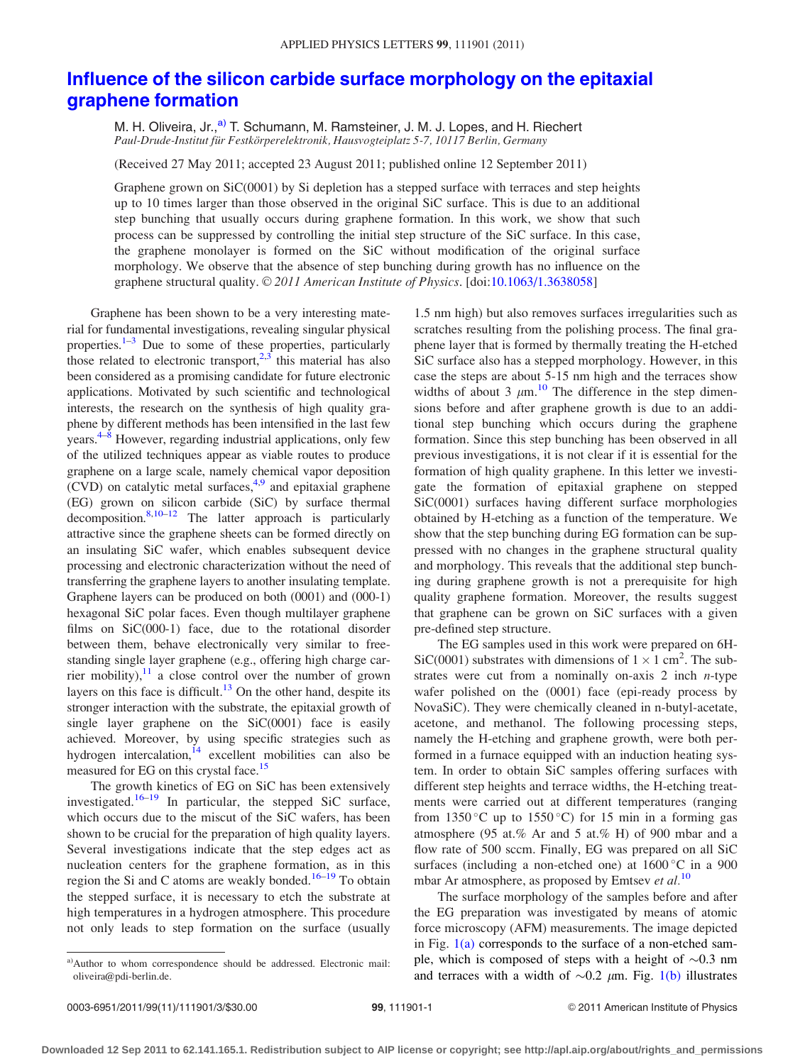## [Influence of the silicon carbide surface morphology on the epitaxial](http://dx.doi.org/10.1063/1.3638058) [graphene formation](http://dx.doi.org/10.1063/1.3638058)

M. H. Oliveira, Jr.,<sup>a)</sup> T. Schumann, M. Ramsteiner, J. M. J. Lopes, and H. Riechert Paul-Drude-Institut für Festkörperelektronik, Hausvogteiplatz 5-7, 10117 Berlin, Germany

(Received 27 May 2011; accepted 23 August 2011; published online 12 September 2011)

Graphene grown on SiC(0001) by Si depletion has a stepped surface with terraces and step heights up to 10 times larger than those observed in the original SiC surface. This is due to an additional step bunching that usually occurs during graphene formation. In this work, we show that such process can be suppressed by controlling the initial step structure of the SiC surface. In this case, the graphene monolayer is formed on the SiC without modification of the original surface morphology. We observe that the absence of step bunching during growth has no influence on the graphene structural quality. © 2011 American Institute of Physics. [doi[:10.1063/1.3638058](http://dx.doi.org/10.1063/1.3638058)]

Graphene has been shown to be a very interesting material for fundamental investigations, revealing singular physical properties.<sup>[1](#page-2-0)–[3](#page-2-0)</sup> Due to some of these properties, particularly those related to electronic transport,  $2,3$  this material has also been considered as a promising candidate for future electronic applications. Motivated by such scientific and technological interests, the research on the synthesis of high quality graphene by different methods has been intensified in the last few years.<sup>4–8</sup> However, regarding industrial applications, only few of the utilized techniques appear as viable routes to produce graphene on a large scale, namely chemical vapor deposition  $(CVD)$  on catalytic metal surfaces,<sup>[4,9](#page-2-0)</sup> and epitaxial graphene (EG) grown on silicon carbide (SiC) by surface thermal decomposition. $8,10-12$  The latter approach is particularly attractive since the graphene sheets can be formed directly on an insulating SiC wafer, which enables subsequent device processing and electronic characterization without the need of transferring the graphene layers to another insulating template. Graphene layers can be produced on both (0001) and (000-1) hexagonal SiC polar faces. Even though multilayer graphene films on SiC(000-1) face, due to the rotational disorder between them, behave electronically very similar to freestanding single layer graphene (e.g., offering high charge carrier mobility), $11$  a close control over the number of grown layers on this face is difficult.<sup>13</sup> On the other hand, despite its stronger interaction with the substrate, the epitaxial growth of single layer graphene on the SiC(0001) face is easily achieved. Moreover, by using specific strategies such as hydrogen intercalation,  $i<sup>4</sup>$  excellent mobilities can also be measured for EG on this crystal face.<sup>15</sup>

The growth kinetics of EG on SiC has been extensively investigated.<sup>[16–19](#page-2-0)</sup> In particular, the stepped SiC surface, which occurs due to the miscut of the SiC wafers, has been shown to be crucial for the preparation of high quality layers. Several investigations indicate that the step edges act as nucleation centers for the graphene formation, as in this region the Si and C atoms are weakly bonded.<sup>[16](#page-2-0)–[19](#page-2-0)</sup> To obtain the stepped surface, it is necessary to etch the substrate at high temperatures in a hydrogen atmosphere. This procedure not only leads to step formation on the surface (usually

The EG samples used in this work were prepared on 6H-SiC(0001) substrates with dimensions of  $1 \times 1$  cm<sup>2</sup>. The substrates were cut from a nominally on-axis 2 inch  $n$ -type wafer polished on the (0001) face (epi-ready process by NovaSiC). They were chemically cleaned in n-butyl-acetate, acetone, and methanol. The following processing steps, namely the H-etching and graphene growth, were both performed in a furnace equipped with an induction heating system. In order to obtain SiC samples offering surfaces with different step heights and terrace widths, the H-etching treatments were carried out at different temperatures (ranging from 1350 °C up to 1550 °C) for 15 min in a forming gas atmosphere (95 at.% Ar and 5 at.% H) of 900 mbar and a flow rate of 500 sccm. Finally, EG was prepared on all SiC surfaces (including a non-etched one) at  $1600^{\circ}$ C in a 900 mbar Ar atmosphere, as proposed by Emtsev et  $al$ <sup>[10](#page-2-0)</sup>

The surface morphology of the samples before and after the EG preparation was investigated by means of atomic force microscopy (AFM) measurements. The image depicted in Fig.  $1(a)$  corresponds to the surface of a non-etched sample, which is composed of steps with a height of  $\sim 0.3$  nm and terraces with a width of  $\sim 0.2$   $\mu$ m. Fig. [1\(b\)](#page-1-0) illustrates

<sup>1.5</sup> nm high) but also removes surfaces irregularities such as scratches resulting from the polishing process. The final graphene layer that is formed by thermally treating the H-etched SiC surface also has a stepped morphology. However, in this case the steps are about 5-15 nm high and the terraces show widths of about 3  $\mu$ m.<sup>[10](#page-2-0)</sup> The difference in the step dimensions before and after graphene growth is due to an additional step bunching which occurs during the graphene formation. Since this step bunching has been observed in all previous investigations, it is not clear if it is essential for the formation of high quality graphene. In this letter we investigate the formation of epitaxial graphene on stepped SiC(0001) surfaces having different surface morphologies obtained by H-etching as a function of the temperature. We show that the step bunching during EG formation can be suppressed with no changes in the graphene structural quality and morphology. This reveals that the additional step bunching during graphene growth is not a prerequisite for high quality graphene formation. Moreover, the results suggest that graphene can be grown on SiC surfaces with a given pre-defined step structure.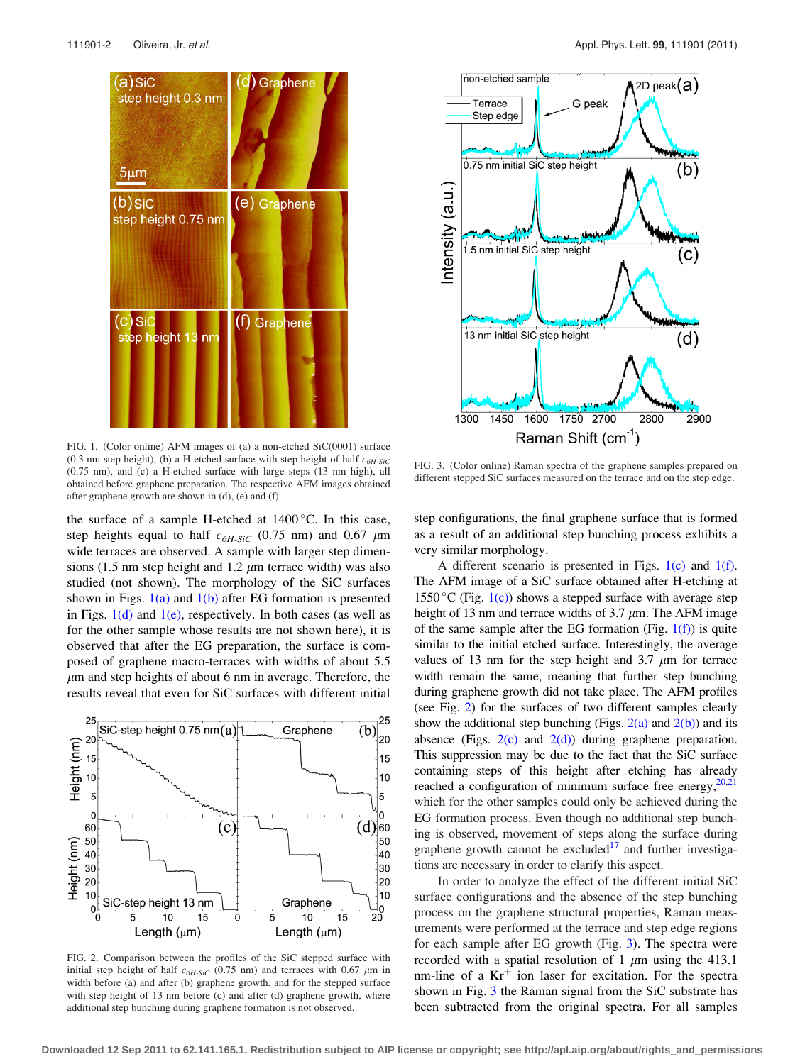<span id="page-1-0"></span>



FIG. 1. (Color online) AFM images of (a) a non-etched SiC(0001) surface (0.3 nm step height), (b) a H-etched surface with step height of half  $c_{6H-SiC}$ (0.75 nm), and (c) a H-etched surface with large steps (13 nm high), all obtained before graphene preparation. The respective AFM images obtained after graphene growth are shown in (d), (e) and (f).

the surface of a sample H-etched at  $1400^{\circ}$ C. In this case, step heights equal to half  $c_{6H\text{-}SiC}$  (0.75 nm) and 0.67  $\mu$ m wide terraces are observed. A sample with larger step dimensions (1.5 nm step height and 1.2  $\mu$ m terrace width) was also studied (not shown). The morphology of the SiC surfaces shown in Figs.  $1(a)$  and  $1(b)$  after EG formation is presented in Figs.  $1(d)$  and  $1(e)$ , respectively. In both cases (as well as for the other sample whose results are not shown here), it is observed that after the EG preparation, the surface is composed of graphene macro-terraces with widths of about 5.5  $\mu$ m and step heights of about 6 nm in average. Therefore, the results reveal that even for SiC surfaces with different initial



FIG. 2. Comparison between the profiles of the SiC stepped surface with initial step height of half  $c_{6H\text{-}SiC}$  (0.75 nm) and terraces with 0.67  $\mu$ m in width before (a) and after (b) graphene growth, and for the stepped surface with step height of 13 nm before (c) and after (d) graphene growth, where additional step bunching during graphene formation is not observed.

FIG. 3. (Color online) Raman spectra of the graphene samples prepared on different stepped SiC surfaces measured on the terrace and on the step edge.

step configurations, the final graphene surface that is formed as a result of an additional step bunching process exhibits a very similar morphology.

A different scenario is presented in Figs.  $1(c)$  and  $1(f)$ . The AFM image of a SiC surface obtained after H-etching at  $1550 \degree C$  (Fig. 1(c)) shows a stepped surface with average step height of 13 nm and terrace widths of 3.7  $\mu$ m. The AFM image of the same sample after the EG formation (Fig.  $1(f)$ ) is quite similar to the initial etched surface. Interestingly, the average values of 13 nm for the step height and 3.7  $\mu$ m for terrace width remain the same, meaning that further step bunching during graphene growth did not take place. The AFM profiles (see Fig. 2) for the surfaces of two different samples clearly show the additional step bunching (Figs.  $2(a)$  and  $2(b)$ ) and its absence (Figs.  $2(c)$  and  $2(d)$ ) during graphene preparation. This suppression may be due to the fact that the SiC surface containing steps of this height after etching has already reached a configuration of minimum surface free energy, $20,21$ which for the other samples could only be achieved during the EG formation process. Even though no additional step bunching is observed, movement of steps along the surface during graphene growth cannot be excluded $17$  and further investigations are necessary in order to clarify this aspect.

In order to analyze the effect of the different initial SiC surface configurations and the absence of the step bunching process on the graphene structural properties, Raman measurements were performed at the terrace and step edge regions for each sample after EG growth (Fig. 3). The spectra were recorded with a spatial resolution of 1  $\mu$ m using the 413.1 nm-line of a  $Kr^+$  ion laser for excitation. For the spectra shown in Fig. 3 the Raman signal from the SiC substrate has been subtracted from the original spectra. For all samples